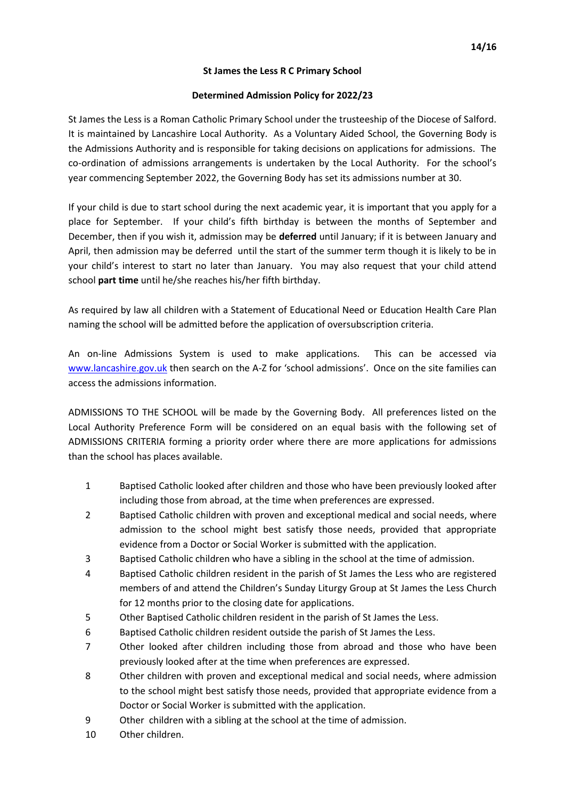## **St James the Less R C Primary School**

# **Determined Admission Policy for 2022/23**

St James the Less is a Roman Catholic Primary School under the trusteeship of the Diocese of Salford. It is maintained by Lancashire Local Authority. As a Voluntary Aided School, the Governing Body is the Admissions Authority and is responsible for taking decisions on applications for admissions. The co-ordination of admissions arrangements is undertaken by the Local Authority. For the school's year commencing September 2022, the Governing Body has set its admissions number at 30.

If your child is due to start school during the next academic year, it is important that you apply for a place for September. If your child's fifth birthday is between the months of September and December, then if you wish it, admission may be **deferred** until January; if it is between January and April, then admission may be deferred until the start of the summer term though it is likely to be in your child's interest to start no later than January. You may also request that your child attend school **part time** until he/she reaches his/her fifth birthday.

As required by law all children with a Statement of Educational Need or Education Health Care Plan naming the school will be admitted before the application of oversubscription criteria.

An on-line Admissions System is used to make applications. This can be accessed via [www.lancashire.gov.uk](http://www.lancashire.gov.uk/) then search on the A-Z for 'school admissions'. Once on the site families can access the admissions information.

ADMISSIONS TO THE SCHOOL will be made by the Governing Body. All preferences listed on the Local Authority Preference Form will be considered on an equal basis with the following set of ADMISSIONS CRITERIA forming a priority order where there are more applications for admissions than the school has places available.

- 1 Baptised Catholic looked after children and those who have been previously looked after including those from abroad, at the time when preferences are expressed.
- 2 Baptised Catholic children with proven and exceptional medical and social needs, where admission to the school might best satisfy those needs, provided that appropriate evidence from a Doctor or Social Worker is submitted with the application.
- 3 Baptised Catholic children who have a sibling in the school at the time of admission.
- 4 Baptised Catholic children resident in the parish of St James the Less who are registered members of and attend the Children's Sunday Liturgy Group at St James the Less Church for 12 months prior to the closing date for applications.
- 5 Other Baptised Catholic children resident in the parish of St James the Less.
- 6 Baptised Catholic children resident outside the parish of St James the Less.
- 7 Other looked after children including those from abroad and those who have been previously looked after at the time when preferences are expressed.
- 8 Other children with proven and exceptional medical and social needs, where admission to the school might best satisfy those needs, provided that appropriate evidence from a Doctor or Social Worker is submitted with the application.
- 9 Other children with a sibling at the school at the time of admission.
- 10 Other children.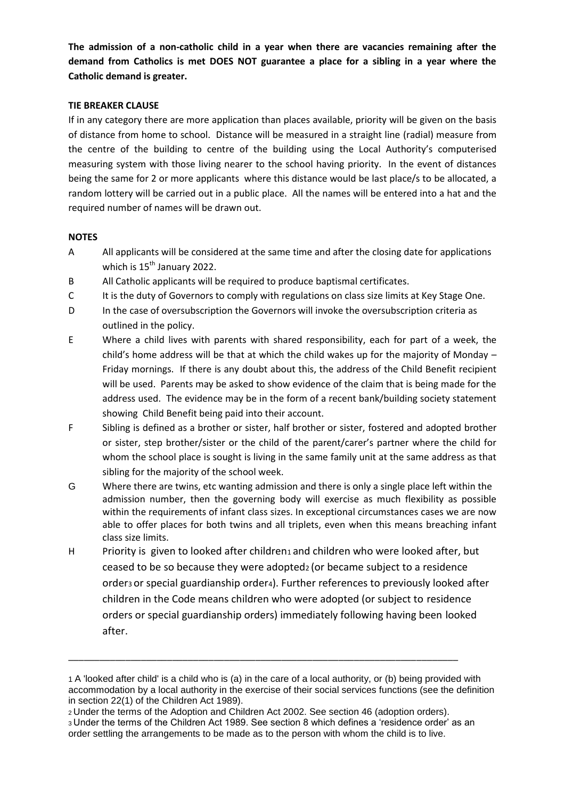**The admission of a non-catholic child in a year when there are vacancies remaining after the demand from Catholics is met DOES NOT guarantee a place for a sibling in a year where the Catholic demand is greater.**

# **TIE BREAKER CLAUSE**

If in any category there are more application than places available, priority will be given on the basis of distance from home to school. Distance will be measured in a straight line (radial) measure from the centre of the building to centre of the building using the Local Authority's computerised measuring system with those living nearer to the school having priority. In the event of distances being the same for 2 or more applicants where this distance would be last place/s to be allocated, a random lottery will be carried out in a public place. All the names will be entered into a hat and the required number of names will be drawn out.

## **NOTES**

- A All applicants will be considered at the same time and after the closing date for applications which is 15<sup>th</sup> January 2022.
- B All Catholic applicants will be required to produce baptismal certificates.
- C It is the duty of Governors to comply with regulations on class size limits at Key Stage One.
- D In the case of oversubscription the Governors will invoke the oversubscription criteria as outlined in the policy.
- E Where a child lives with parents with shared responsibility, each for part of a week, the child's home address will be that at which the child wakes up for the majority of Monday – Friday mornings. If there is any doubt about this, the address of the Child Benefit recipient will be used. Parents may be asked to show evidence of the claim that is being made for the address used. The evidence may be in the form of a recent bank/building society statement showing Child Benefit being paid into their account.
- F Sibling is defined as a brother or sister, half brother or sister, fostered and adopted brother or sister, step brother/sister or the child of the parent/carer's partner where the child for whom the school place is sought is living in the same family unit at the same address as that sibling for the majority of the school week.
- G Where there are twins, etc wanting admission and there is only a single place left within the admission number, then the governing body will exercise as much flexibility as possible within the requirements of infant class sizes. In exceptional circumstances cases we are now able to offer places for both twins and all triplets, even when this means breaching infant class size limits.
- H Priority is given to looked after children<sub>1</sub> and children who were looked after, but ceased to be so because they were adopted2 (or became subject to a residence order<sub>3</sub> or special guardianship order<sub>4</sub>). Further references to previously looked after children in the Code means children who were adopted (or subject to residence orders or special guardianship orders) immediately following having been looked after.

\_\_\_\_\_\_\_\_\_\_\_\_\_\_\_\_\_\_\_\_\_\_\_\_\_\_\_\_\_\_\_\_\_\_\_\_\_\_\_\_\_\_\_\_\_\_\_\_\_\_\_\_\_\_\_\_\_\_\_\_\_\_\_\_\_\_\_\_\_\_\_\_\_\_\_

<sup>1</sup> A 'looked after child' is a child who is (a) in the care of a local authority, or (b) being provided with accommodation by a local authority in the exercise of their social services functions (see the definition in section 22(1) of the Children Act 1989).

<sup>2</sup>Under the terms of the Adoption and Children Act 2002. See section 46 (adoption orders). <sup>3</sup>Under the terms of the Children Act 1989. See section 8 which defines a 'residence order' as an order settling the arrangements to be made as to the person with whom the child is to live.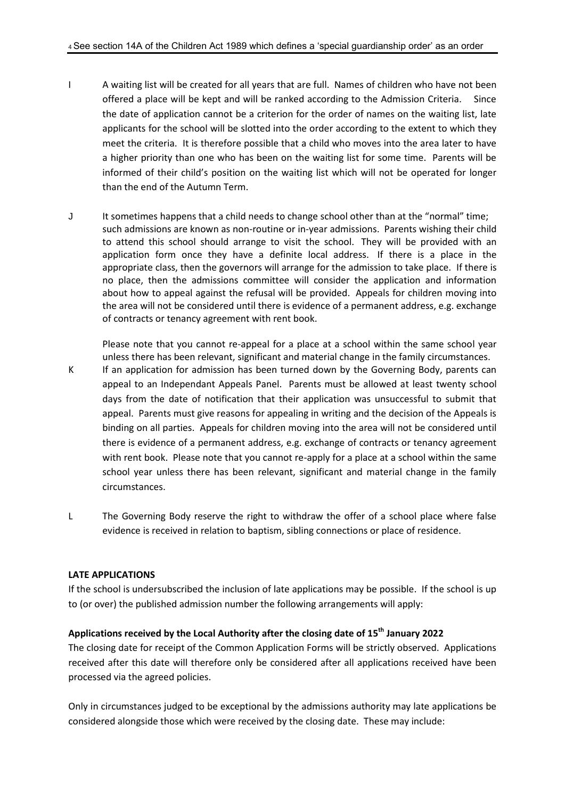- I A waiting list will be created for all years that are full. Names of children who have not been offered a place will be kept and will be ranked according to the Admission Criteria. Since the date of application cannot be a criterion for the order of names on the waiting list, late applicants for the school will be slotted into the order according to the extent to which they meet the criteria. It is therefore possible that a child who moves into the area later to have a higher priority than one who has been on the waiting list for some time. Parents will be informed of their child's position on the waiting list which will not be operated for longer than the end of the Autumn Term.
- J It sometimes happens that a child needs to change school other than at the "normal" time; such admissions are known as non-routine or in-year admissions. Parents wishing their child to attend this school should arrange to visit the school. They will be provided with an application form once they have a definite local address. If there is a place in the appropriate class, then the governors will arrange for the admission to take place. If there is no place, then the admissions committee will consider the application and information about how to appeal against the refusal will be provided. Appeals for children moving into the area will not be considered until there is evidence of a permanent address, e.g. exchange of contracts or tenancy agreement with rent book.

Please note that you cannot re-appeal for a place at a school within the same school year unless there has been relevant, significant and material change in the family circumstances.

- K If an application for admission has been turned down by the Governing Body, parents can appeal to an Independant Appeals Panel. Parents must be allowed at least twenty school days from the date of notification that their application was unsuccessful to submit that appeal. Parents must give reasons for appealing in writing and the decision of the Appeals is binding on all parties. Appeals for children moving into the area will not be considered until there is evidence of a permanent address, e.g. exchange of contracts or tenancy agreement with rent book. Please note that you cannot re-apply for a place at a school within the same school year unless there has been relevant, significant and material change in the family circumstances.
- L The Governing Body reserve the right to withdraw the offer of a school place where false evidence is received in relation to baptism, sibling connections or place of residence.

#### **LATE APPLICATIONS**

If the school is undersubscribed the inclusion of late applications may be possible. If the school is up to (or over) the published admission number the following arrangements will apply:

# **Applications received by the Local Authority after the closing date of 15 th January 2022**

The closing date for receipt of the Common Application Forms will be strictly observed. Applications received after this date will therefore only be considered after all applications received have been processed via the agreed policies.

Only in circumstances judged to be exceptional by the admissions authority may late applications be considered alongside those which were received by the closing date. These may include: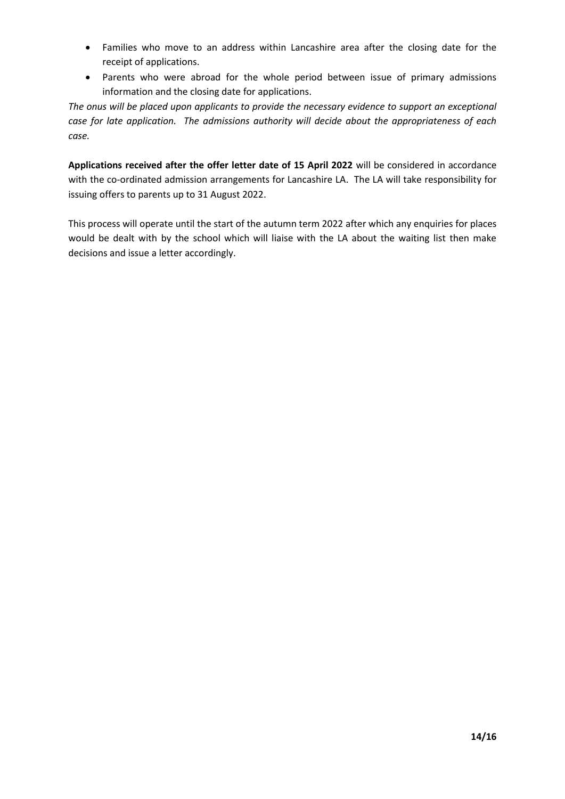- Families who move to an address within Lancashire area after the closing date for the receipt of applications.
- Parents who were abroad for the whole period between issue of primary admissions information and the closing date for applications.

*The onus will be placed upon applicants to provide the necessary evidence to support an exceptional case for late application. The admissions authority will decide about the appropriateness of each case.*

**Applications received after the offer letter date of 15 April 2022** will be considered in accordance with the co-ordinated admission arrangements for Lancashire LA. The LA will take responsibility for issuing offers to parents up to 31 August 2022.

This process will operate until the start of the autumn term 2022 after which any enquiries for places would be dealt with by the school which will liaise with the LA about the waiting list then make decisions and issue a letter accordingly.